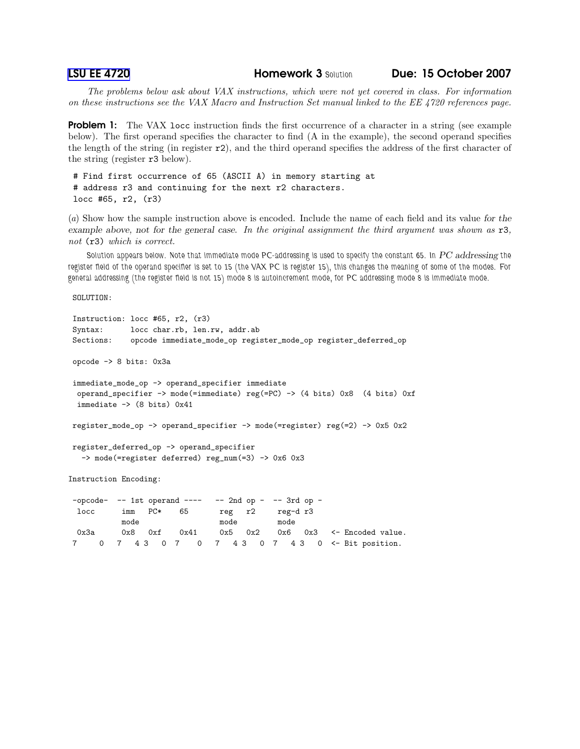[LSU EE 4720](http://www.ece.lsu.edu/ee4720/) Homework 3 *Solution* Due: 15 October 2007

The problems below ask about VAX instructions, which were not yet covered in class. For information on these instructions see the VAX Macro and Instruction Set manual linked to the EE 4720 references page.

**Problem 1:** The VAX locc instruction finds the first occurrence of a character in a string (see example below). The first operand specifies the character to find (A in the example), the second operand specifies the length of the string (in register r2), and the third operand specifies the address of the first character of the string (register r3 below).

# Find first occurrence of 65 (ASCII A) in memory starting at # address r3 and continuing for the next r2 characters. locc #65, r2, (r3)

(a) Show how the sample instruction above is encoded. Include the name of each field and its value for the example above, not for the general case. In the original assignment the third argument was shown as  $r3$ , not (r3) which is correct.

*Solution appears below. Note that immediate mode PC-addressing is used to specify the constant 65. In* PC addressing *the register field of the operand specifier is set to 15 (the VAX PC is register 15), this changes the meaning of some of the modes. For general addressing (the register field is not 15) mode 8 is autoincrement mode, for PC addressing mode 8 is immediate mode.*

SOLUTION:

```
Instruction: locc #65, r2, (r3)
Syntax: locc char.rb, len.rw, addr.ab
Sections: opcode immediate_mode_op register_mode_op register_deferred_op
opcode -> 8 bits: 0x3a
immediate_mode_op -> operand_specifier immediate
 operand_specifier -> mode(=immediate) reg(=PC) -> (4 bits) 0x8 (4 bits) 0xf
 immediate \rightarrow (8 bits) 0x41register_mode_op -> operand_specifier -> mode(=register) reg(=2) -> 0x5 0x2
register_deferred_op -> operand_specifier
  -> mode(=register deferred) reg_num(=3) -> 0x6 0x3
Instruction Encoding:
-p\text{code} -- 1st operand ---- -- 2nd op - -- 3rd op -
 locc imm PC* 65 reg r2 reg-d r3
          mode mode mode
 0x3a 0x8 0xf 0x41 0x5 0x2 0x6 0x3 <- Encoded value.
```
7 0 7 4 3 0 7 0 7 4 3 0 7 4 3 0 <- Bit position.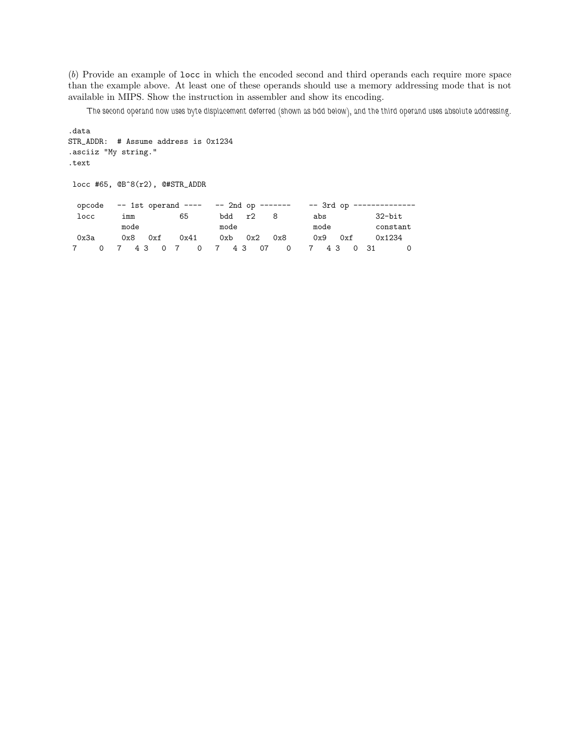(b) Provide an example of locc in which the encoded second and third operands each require more space than the example above. At least one of these operands should use a memory addressing mode that is not available in MIPS. Show the instruction in assembler and show its encoding.

*The second operand now uses byte displacement deferred (shown as bdd below), and the third operand uses absolute addressing.*

```
.data
STR_ADDR: # Assume address is 0x1234
.asciiz "My string."
.text
locc #65, @B^8(r2), @#STR_ADDR
 opcode -- 1st operand ---- -- 2nd op ------- -- 3rd op --------------
 locc imm 65 bdd r2 8 abs 32-bit
       mode mode mode mode constant
 0x3a 0x8 0xf 0x41 0xb 0x2 0x8 0x9 0xf 0x1234
7 0 7 4 3 0 7 0 7 4 3 07 0 7 4 3 0 31 0
```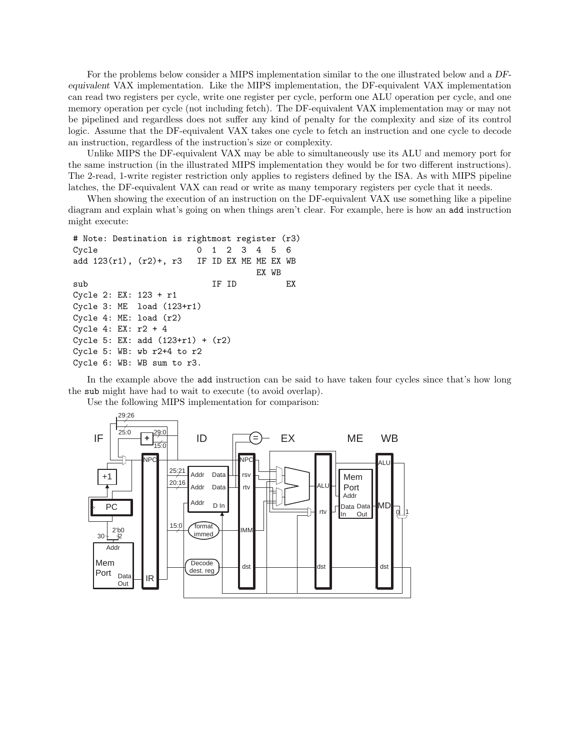For the problems below consider a MIPS implementation similar to the one illustrated below and a DFequivalent VAX implementation. Like the MIPS implementation, the DF-equivalent VAX implementation can read two registers per cycle, write one register per cycle, perform one ALU operation per cycle, and one memory operation per cycle (not including fetch). The DF-equivalent VAX implementation may or may not be pipelined and regardless does not suffer any kind of penalty for the complexity and size of its control logic. Assume that the DF-equivalent VAX takes one cycle to fetch an instruction and one cycle to decode an instruction, regardless of the instruction's size or complexity.

Unlike MIPS the DF-equivalent VAX may be able to simultaneously use its ALU and memory port for the same instruction (in the illustrated MIPS implementation they would be for two different instructions). The 2-read, 1-write register restriction only applies to registers defined by the ISA. As with MIPS pipeline latches, the DF-equivalent VAX can read or write as many temporary registers per cycle that it needs.

When showing the execution of an instruction on the DF-equivalent VAX use something like a pipeline diagram and explain what's going on when things aren't clear. For example, here is how an add instruction might execute:

```
# Note: Destination is rightmost register (r3)
Cycle 0 1 2 3 4 5 6
add 123(r1), (r2)+, r3 IF ID EX ME ME EX WB
                               EX WB
sub IF ID EX
Cycle 2: EX: 123 + r1
Cycle 3: ME load (123+r1)
Cycle 4: ME: load (r2)
Cycle 4: EX: r2 + 4
Cycle 5: EX: add (123+r1) + (r2)
Cycle 5: WB: wb r2+4 to r2
Cycle 6: WB: WB sum to r3.
```
In the example above the add instruction can be said to have taken four cycles since that's how long the sub might have had to wait to execute (to avoid overlap).



Use the following MIPS implementation for comparison: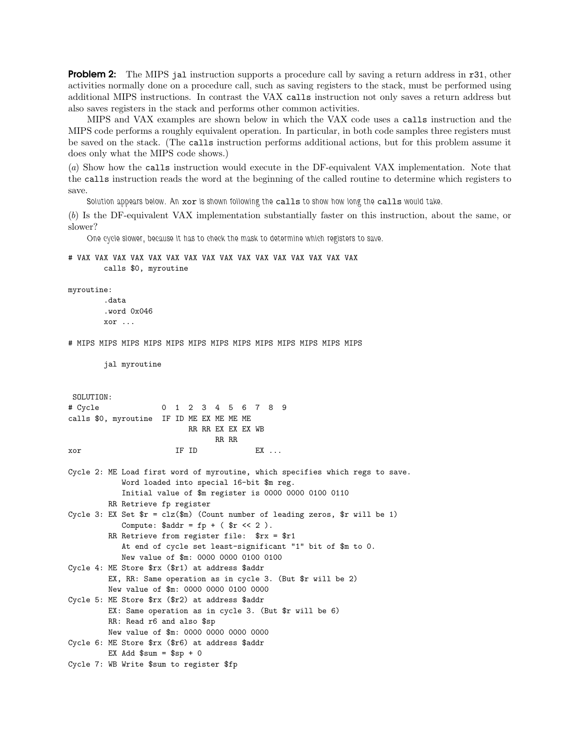**Problem 2:** The MIPS jal instruction supports a procedure call by saving a return address in r31, other activities normally done on a procedure call, such as saving registers to the stack, must be performed using additional MIPS instructions. In contrast the VAX calls instruction not only saves a return address but also saves registers in the stack and performs other common activities.

MIPS and VAX examples are shown below in which the VAX code uses a calls instruction and the MIPS code performs a roughly equivalent operation. In particular, in both code samples three registers must be saved on the stack. (The calls instruction performs additional actions, but for this problem assume it does only what the MIPS code shows.)

(a) Show how the calls instruction would execute in the DF-equivalent VAX implementation. Note that the calls instruction reads the word at the beginning of the called routine to determine which registers to save.

*Solution appears below. An* xor *is shown following the* calls *to show how long the* calls *would take.*

(b) Is the DF-equivalent VAX implementation substantially faster on this instruction, about the same, or slower?

*One cycle slower, because it has to check the mask to determine which registers to save.*

```
# VAX VAX VAX VAX VAX VAX VAX VAX VAX VAX VAX VAX VAX VAX VAX VAX
        calls $0, myroutine
```

```
myroutine:
```

```
.data
.word 0x046
xor ...
```
# MIPS MIPS MIPS MIPS MIPS MIPS MIPS MIPS MIPS MIPS MIPS MIPS MIPS

```
jal myroutine
```

```
SOLUTION:
# Cycle 0 1 2 3 4 5 6 7 8 9
calls $0, myroutine IF ID ME EX ME ME ME
                  RR RR EX EX EX WB
                      RR RR
xor IF ID EX ...
```

```
Cycle 2: ME Load first word of myroutine, which specifies which regs to save.
            Word loaded into special 16-bit $m reg.
            Initial value of $m register is 0000 0000 0100 0110
         RR Retrieve fp register
Cycle 3: EX Set r = c l z (\text{Im}) (Count number of leading zeros, r will be 1)
            Compute: \deltaaddr = fp + (\deltar << 2).
         RR Retrieve from register file: $rx = $r1
            At end of cycle set least-significant "1" bit of $m to 0.
```

```
New value of $m: 0000 0000 0100 0100
Cycle 4: ME Store $rx ($r1) at address $addr
         EX, RR: Same operation as in cycle 3. (But $r will be 2)
         New value of $m: 0000 0000 0100 0000
Cycle 5: ME Store $rx ($r2) at address $addr
```

```
EX: Same operation as in cycle 3. (But $r will be 6)
RR: Read r6 and also $sp
New value of $m: 0000 0000 0000 0000
```

```
Cycle 6: ME Store $rx ($r6) at address $addr
        EX Add $sum = $sp + 0
```

```
Cycle 7: WB Write $sum to register $fp
```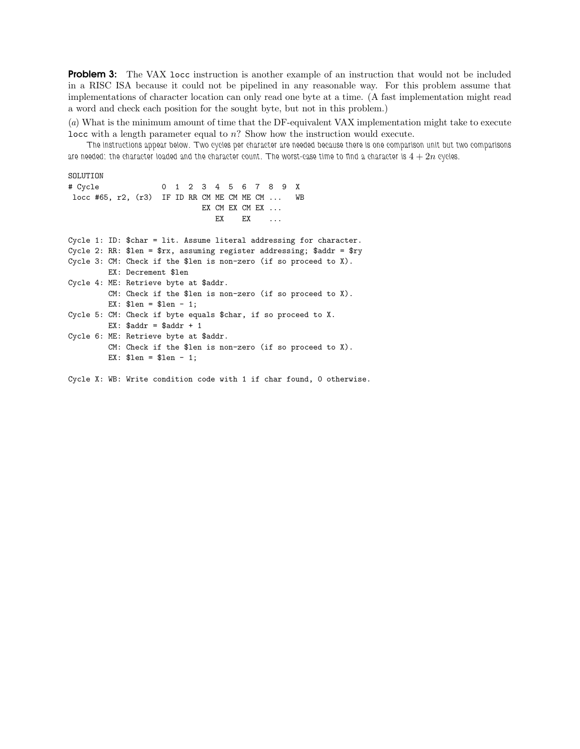**Problem 3:** The VAX locc instruction is another example of an instruction that would not be included in a RISC ISA because it could not be pipelined in any reasonable way. For this problem assume that implementations of character location can only read one byte at a time. (A fast implementation might read a word and check each position for the sought byte, but not in this problem.)

(a) What is the minimum amount of time that the DF-equivalent VAX implementation might take to execute locc with a length parameter equal to n? Show how the instruction would execute.

*The instructions appear below. Two cycles per character are needed because there is one comparison unit but two comparisons* are needed: the character loaded and the character count. The worst-case time to find a character is  $4 + 2n$  cycles.

SOLUTION

# Cycle 0 1 2 3 4 5 6 7 8 9 X locc #65, r2, (r3) IF ID RR CM ME CM ME CM ... WB EX CM EX CM EX ... EX EX ...

Cycle 1: ID: \$char = lit. Assume literal addressing for character. Cycle 2: RR:  $\ell = \frac{\pi}{3}$  assuming register addressing;  $\ell = \frac{\pi}{3}$ Cycle 3: CM: Check if the \$len is non-zero (if so proceed to X). EX: Decrement \$len Cycle 4: ME: Retrieve byte at \$addr. CM: Check if the \$len is non-zero (if so proceed to X). EX:  $$len = $len - 1;$ Cycle 5: CM: Check if byte equals \$char, if so proceed to X. EX:  $$addr = $addr + 1$ Cycle 6: ME: Retrieve byte at \$addr. CM: Check if the \$len is non-zero (if so proceed to X). EX:  $$len = $len - 1;$ 

Cycle X: WB: Write condition code with 1 if char found, 0 otherwise.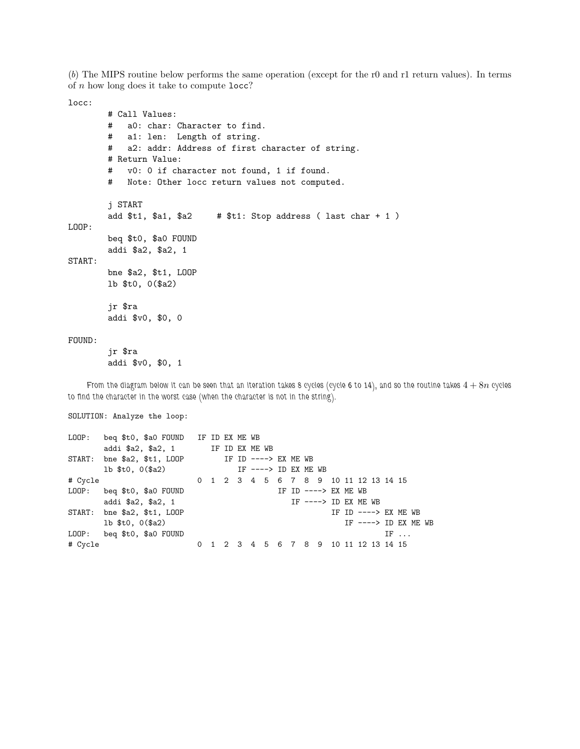(b) The MIPS routine below performs the same operation (except for the r0 and r1 return values). In terms of  $n$  how long does it take to compute  $\texttt{locc?}$ 

locc:

```
# Call Values:
       # a0: char: Character to find.
       # a1: len: Length of string.
       # a2: addr: Address of first character of string.
       # Return Value:
       # v0: 0 if character not found, 1 if found.
       # Note: Other locc return values not computed.
       j START
       add t1, t1, t2 # t1: Stop address (last char + 1)
LOOP:
       beq $t0, $a0 FOUND
       addi $a2, $a2, 1
START:
       bne $a2, $t1, LOOP
       lb $t0, 0($a2)
       jr $ra
       addi $v0, $0, 0
FOUND:
```
jr \$ra addi \$v0, \$0, 1

*From the diagram below it can be seen that an iteration takes 8 cycles (cycle 6 to 14), and so the routine takes*  $4 + 8n$  *cycles to find the character in the worst case (when the character is not in the string).*

SOLUTION: Analyze the loop:

|         | LOOP: beq \$t0, \$a0 FOUND IF ID EX ME WB        |  |  |  |                                       |  |                       |  |  |                       |  |
|---------|--------------------------------------------------|--|--|--|---------------------------------------|--|-----------------------|--|--|-----------------------|--|
|         | addi \$a2, \$a2, 1 IF ID EX ME WB                |  |  |  |                                       |  |                       |  |  |                       |  |
|         | START: bne $$a2, $t1, LOOP$ IF ID ----> EX ME WB |  |  |  |                                       |  |                       |  |  |                       |  |
|         | 1b $$t0, 0 ($a2)$ IF ----> ID EX ME WB           |  |  |  |                                       |  |                       |  |  |                       |  |
| # Cycle |                                                  |  |  |  | 0 1 2 3 4 5 6 7 8 9 10 11 12 13 14 15 |  |                       |  |  |                       |  |
|         | LOOP: beq \$t0, \$a0 FOUND                       |  |  |  |                                       |  | IF ID $--->$ EX ME WB |  |  |                       |  |
|         | addi \$a2, \$a2, 1                               |  |  |  |                                       |  | IF $--->$ ID EX ME WB |  |  |                       |  |
|         | START: bne \$a2, \$t1, LOOP                      |  |  |  |                                       |  |                       |  |  | IF ID $--->$ EX ME WB |  |
|         | $1b$ \$t0, $0$ (\$a2)                            |  |  |  |                                       |  |                       |  |  | IF $--->$ ID EX ME WB |  |
|         | LOOP: beg \$t0, \$a0 FOUND                       |  |  |  |                                       |  |                       |  |  | $IF \ldots$           |  |
| # Cycle |                                                  |  |  |  | 0 1 2 3 4 5 6 7 8 9 10 11 12 13 14 15 |  |                       |  |  |                       |  |